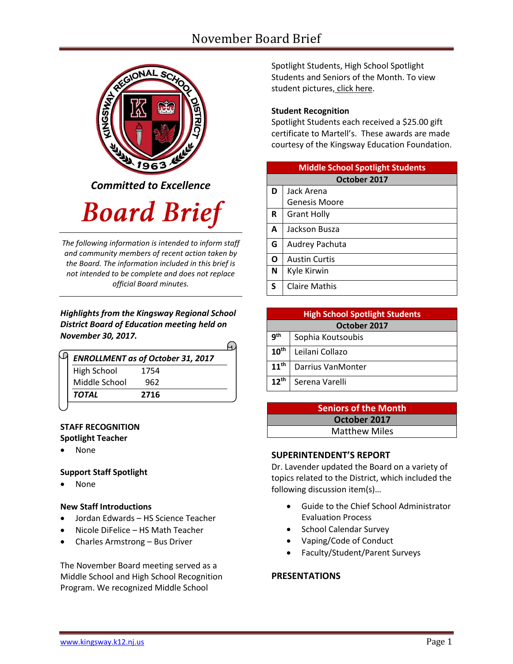# November Board Brief



*Committed to Excellence*

# **Board Brief**

*The following information is intended to inform staff and community members of recent action taken by the Board. The information included in this brief is not intended to be complete and does not replace official Board minutes.*

*Highlights from the Kingsway Regional School District Board of Education meeting held on November 30, 2017.* 

| <b>ENROLLMENT as of October 31, 2017</b> |  |
|------------------------------------------|--|
| 1754                                     |  |
| 962                                      |  |
| 2716                                     |  |
|                                          |  |

#### **STAFF RECOGNITION Spotlight Teacher**

None

#### **Support Staff Spotlight**

None

#### **New Staff Introductions**

- Jordan Edwards HS Science Teacher
- Nicole DiFelice HS Math Teacher
- Charles Armstrong Bus Driver

The November Board meeting served as a Middle School and High School Recognition Program. We recognized Middle School

Spotlight Students, High School Spotlight Students and Seniors of the Month. To view student pictures, [click here.](http://www.krsd.org/Page/1303)

#### **Student Recognition**

Spotlight Students each received a \$25.00 gift certificate to Martell's. These awards are made courtesy of the Kingsway Education Foundation.

| <b>Middle School Spotlight Students</b> |                      |  |  |  |
|-----------------------------------------|----------------------|--|--|--|
| October 2017                            |                      |  |  |  |
| D                                       | Jack Arena           |  |  |  |
|                                         | Genesis Moore        |  |  |  |
| R                                       | <b>Grant Holly</b>   |  |  |  |
| A                                       | Jackson Busza        |  |  |  |
| G                                       | Audrey Pachuta       |  |  |  |
| O                                       | <b>Austin Curtis</b> |  |  |  |
| N                                       | Kyle Kirwin          |  |  |  |
| S                                       | <b>Claire Mathis</b> |  |  |  |

| <b>High School Spotlight Students</b> |                   |  |  |  |
|---------------------------------------|-------------------|--|--|--|
| October 2017                          |                   |  |  |  |
| <b>gth</b>                            | Sophia Koutsoubis |  |  |  |
| 10 <sup>th</sup>                      | Leilani Collazo   |  |  |  |
| 11 <sup>th</sup>                      | Darrius VanMonter |  |  |  |
| $12^{th}$                             | Serena Varelli    |  |  |  |

### **Seniors of the Month October 2017** Matthew Miles

#### **SUPERINTENDENT'S REPORT**

Dr. Lavender updated the Board on a variety of topics related to the District, which included the following discussion item(s)…

- Guide to the Chief School Administrator Evaluation Process
- School Calendar Survey
- Vaping/Code of Conduct
- Faculty/Student/Parent Surveys

#### **PRESENTATIONS**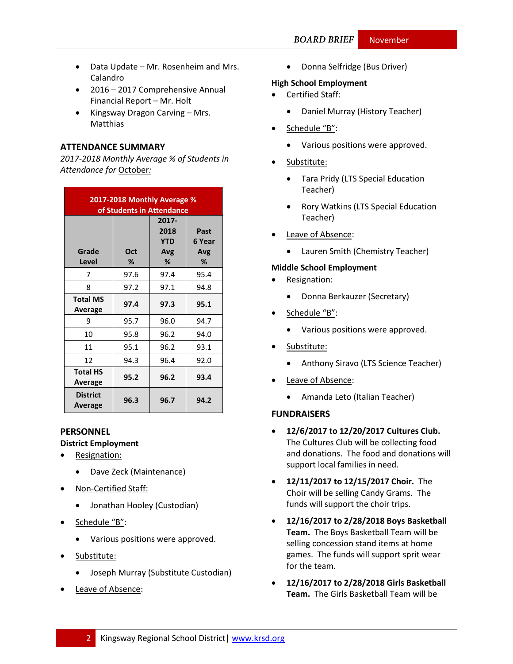- Data Update Mr. Rosenheim and Mrs. Calandro
- 2016 2017 Comprehensive Annual Financial Report – Mr. Holt
- $\bullet$  Kingsway Dragon Carving Mrs. Matthias

#### **ATTENDANCE SUMMARY**

*2017-2018 Monthly Average % of Students in Attendance for* October*:*

| 2017-2018 Monthly Average %<br>of Students in Attendance |          |                                  |                            |  |  |
|----------------------------------------------------------|----------|----------------------------------|----------------------------|--|--|
| Grade<br>Level                                           | Oct<br>℅ | 2017-<br>2018<br>YTD<br>Avg<br>℅ | Past<br>6 Year<br>Avg<br>% |  |  |
| 7                                                        | 97.6     | 97.4                             | 95.4                       |  |  |
| 8                                                        | 97.2     | 97.1                             | 94.8                       |  |  |
| <b>Total MS</b><br>Average                               | 97.4     | 97.3                             | 95.1                       |  |  |
| 9                                                        | 95.7     | 96.0                             | 94.7                       |  |  |
| 10                                                       | 95.8     | 96.2                             | 94.0                       |  |  |
| 11                                                       | 95.1     | 96.2                             | 93.1                       |  |  |
| 12                                                       | 94.3     | 96.4                             | 92.0                       |  |  |
| <b>Total HS</b><br>Average                               | 95.2     | 96.2                             | 93.4                       |  |  |
| <b>District</b><br>Average                               | 96.3     | 96.7                             | 94.2                       |  |  |

#### **PERSONNEL**

**District Employment**

- Resignation:
	- Dave Zeck (Maintenance)
- Non-Certified Staff:
	- Jonathan Hooley (Custodian)
- Schedule "B":
	- Various positions were approved.
- Substitute:
	- Joseph Murray (Substitute Custodian)
- Leave of Absence:

• Donna Selfridge (Bus Driver)

#### **High School Employment**

- Certified Staff:
	- Daniel Murray (History Teacher)
- Schedule "B":
	- Various positions were approved.
- Substitute:
	- Tara Pridy (LTS Special Education Teacher)
	- Rory Watkins (LTS Special Education Teacher)
- Leave of Absence:
	- Lauren Smith (Chemistry Teacher)

#### **Middle School Employment**

- Resignation:
	- Donna Berkauzer (Secretary)
- Schedule "B":
	- Various positions were approved.
- Substitute:
	- Anthony Siravo (LTS Science Teacher)
- Leave of Absence:
	- Amanda Leto (Italian Teacher)

#### **FUNDRAISERS**

- **12/6/2017 to 12/20/2017 Cultures Club.** The Cultures Club will be collecting food and donations. The food and donations will support local families in need.
- **12/11/2017 to 12/15/2017 Choir.** The Choir will be selling Candy Grams. The funds will support the choir trips.
- **12/16/2017 to 2/28/2018 Boys Basketball Team.** The Boys Basketball Team will be selling concession stand items at home games. The funds will support sprit wear for the team.
- **12/16/2017 to 2/28/2018 Girls Basketball Team.** The Girls Basketball Team will be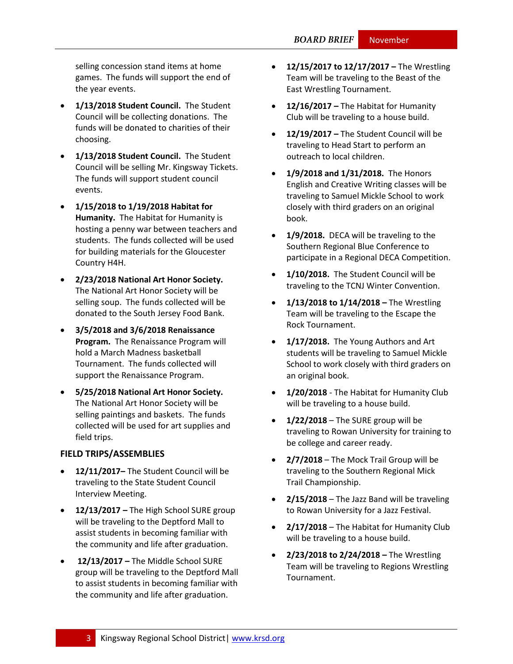selling concession stand items at home games. The funds will support the end of the year events.

- **1/13/2018 Student Council.** The Student Council will be collecting donations. The funds will be donated to charities of their choosing.
- **1/13/2018 Student Council.** The Student Council will be selling Mr. Kingsway Tickets. The funds will support student council events.
- **1/15/2018 to 1/19/2018 Habitat for Humanity.** The Habitat for Humanity is hosting a penny war between teachers and students. The funds collected will be used for building materials for the Gloucester Country H4H.
- **2/23/2018 National Art Honor Society.** The National Art Honor Society will be selling soup. The funds collected will be donated to the South Jersey Food Bank.
- **3/5/2018 and 3/6/2018 Renaissance Program.** The Renaissance Program will hold a March Madness basketball Tournament. The funds collected will support the Renaissance Program.
- **5/25/2018 National Art Honor Society.** The National Art Honor Society will be selling paintings and baskets. The funds collected will be used for art supplies and field trips.

#### **FIELD TRIPS/ASSEMBLIES**

- **12/11/2017–** The Student Council will be traveling to the State Student Council Interview Meeting.
- **12/13/2017 –** The High School SURE group will be traveling to the Deptford Mall to assist students in becoming familiar with the community and life after graduation.
- **12/13/2017 –** The Middle School SURE group will be traveling to the Deptford Mall to assist students in becoming familiar with the community and life after graduation.
- **12/15/2017 to 12/17/2017 –** The Wrestling Team will be traveling to the Beast of the East Wrestling Tournament.
- **12/16/2017 –** The Habitat for Humanity Club will be traveling to a house build.
- **12/19/2017 –** The Student Council will be traveling to Head Start to perform an outreach to local children.
- **1/9/2018 and 1/31/2018.** The Honors English and Creative Writing classes will be traveling to Samuel Mickle School to work closely with third graders on an original book.
- **1/9/2018.** DECA will be traveling to the Southern Regional Blue Conference to participate in a Regional DECA Competition.
- **1/10/2018.** The Student Council will be traveling to the TCNJ Winter Convention.
- **1/13/2018 to 1/14/2018 –** The Wrestling Team will be traveling to the Escape the Rock Tournament.
- **1/17/2018.** The Young Authors and Art students will be traveling to Samuel Mickle School to work closely with third graders on an original book.
- **1/20/2018** The Habitat for Humanity Club will be traveling to a house build.
- **1/22/2018** The SURE group will be traveling to Rowan University for training to be college and career ready.
- **2/7/2018**  The Mock Trail Group will be traveling to the Southern Regional Mick Trail Championship.
- **2/15/2018**  The Jazz Band will be traveling to Rowan University for a Jazz Festival.
- **2/17/2018**  The Habitat for Humanity Club will be traveling to a house build.
- **2/23/2018 to 2/24/2018 –** The Wrestling Team will be traveling to Regions Wrestling Tournament.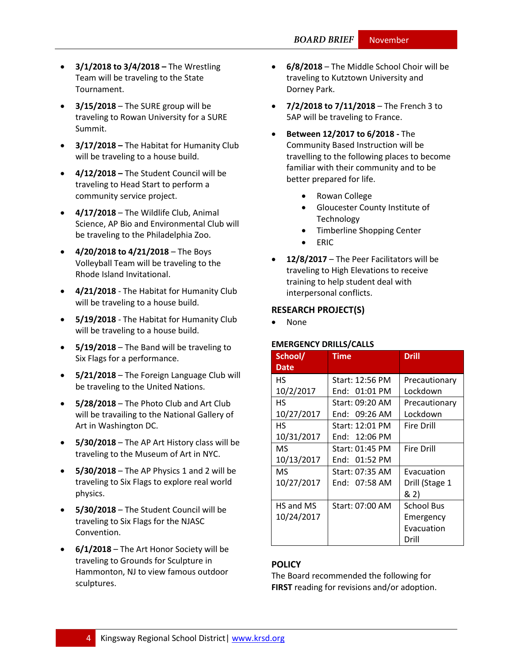- **3/1/2018 to 3/4/2018 –** The Wrestling Team will be traveling to the State Tournament.
- **3/15/2018** The SURE group will be traveling to Rowan University for a SURE Summit.
- **3/17/2018 –** The Habitat for Humanity Club will be traveling to a house build.
- **4/12/2018 –** The Student Council will be traveling to Head Start to perform a community service project.
- **4/17/2018** The Wildlife Club, Animal Science, AP Bio and Environmental Club will be traveling to the Philadelphia Zoo.
- **4/20/2018 to 4/21/2018**  The Boys Volleyball Team will be traveling to the Rhode Island Invitational.
- **4/21/2018**  The Habitat for Humanity Club will be traveling to a house build.
- **5/19/2018**  The Habitat for Humanity Club will be traveling to a house build.
- **5/19/2018**  The Band will be traveling to Six Flags for a performance.
- **5/21/2018**  The Foreign Language Club will be traveling to the United Nations.
- **5/28/2018**  The Photo Club and Art Club will be travailing to the National Gallery of Art in Washington DC.
- **5/30/2018**  The AP Art History class will be traveling to the Museum of Art in NYC.
- **5/30/2018**  The AP Physics 1 and 2 will be traveling to Six Flags to explore real world physics.
- **5/30/2018**  The Student Council will be traveling to Six Flags for the NJASC Convention.
- **6/1/2018**  The Art Honor Society will be traveling to Grounds for Sculpture in Hammonton, NJ to view famous outdoor sculptures.
- **6/8/2018**  The Middle School Choir will be traveling to Kutztown University and Dorney Park.
- **7/2/2018 to 7/11/2018**  The French 3 to 5AP will be traveling to France.
- **Between 12/2017 to 6/2018 -** The Community Based Instruction will be travelling to the following places to become familiar with their community and to be better prepared for life.
	- Rowan College
	- Gloucester County Institute of **Technology**
	- Timberline Shopping Center
	- ERIC
- **12/8/2017** The Peer Facilitators will be traveling to High Elevations to receive training to help student deal with interpersonal conflicts.

#### **RESEARCH PROJECT(S)**

None

#### **EMERGENCY DRILLS/CALLS**

| School/     | Iime            | <b>Drill</b>      |
|-------------|-----------------|-------------------|
| <b>Date</b> |                 |                   |
| <b>HS</b>   | Start: 12:56 PM | Precautionary     |
| 10/2/2017   | End: $01:01$ PM | Lockdown          |
| НS          | Start: 09:20 AM | Precautionary     |
| 10/27/2017  | End: 09:26 AM   | Lockdown          |
| НS          | Start: 12:01 PM | <b>Fire Drill</b> |
| 10/31/2017  | End: $12:06$ PM |                   |
| MS.         | Start: 01:45 PM | <b>Fire Drill</b> |
| 10/13/2017  | End: 01:52 PM   |                   |
| MS.         | Start: 07:35 AM | Evacuation        |
| 10/27/2017  | End: 07:58 AM   | Drill (Stage 1    |
|             |                 | & 2)              |
| HS and MS   | Start: 07:00 AM | <b>School Bus</b> |
| 10/24/2017  |                 | Emergency         |
|             |                 | Evacuation        |
|             |                 | Drill             |

#### **[POLICY](http://www.straussesmay.com/seportal/Public/DistrictPolicyTOC.aspx?id=f0cc945ef3894b8d9ad5f87d948ca425&PolicyID=)**

The Board recommended the following for **FIRST** reading for revisions and/or adoption.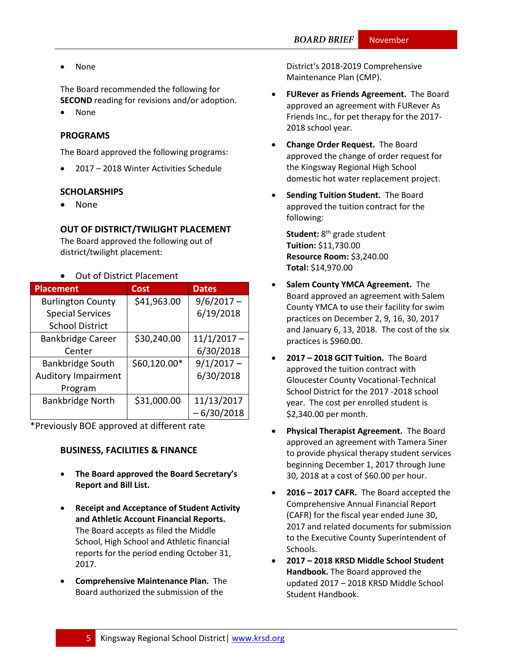None

The Board recommended the following for **SECOND** reading for revisions and/or adoption.

• None

#### **PROGRAMS**

The Board approved the following programs:

2017 – 2018 Winter Activities Schedule

#### **SCHOLARSHIPS**

None

## **OUT OF DISTRICT/TWILIGHT PLACEMENT**

The Board approved the following out of district/twilight placement:

#### Out of District Placement

| <b>Placement</b>           | <b>Cost</b>  | <b>Dates</b>  |
|----------------------------|--------------|---------------|
| <b>Burlington County</b>   | \$41,963.00  | $9/6/2017 -$  |
| <b>Special Services</b>    |              | 6/19/2018     |
| <b>School District</b>     |              |               |
| <b>Bankbridge Career</b>   | \$30,240.00  | $11/1/2017 -$ |
| Center                     |              | 6/30/2018     |
| <b>Bankbridge South</b>    | \$60,120.00* | $9/1/2017 -$  |
| <b>Auditory Impairment</b> |              | 6/30/2018     |
| Program                    |              |               |
| <b>Bankbridge North</b>    | \$31,000.00  | 11/13/2017    |
|                            |              | $-6/30/2018$  |

\*Previously BOE approved at different rate

#### **BUSINESS, FACILITIES & FINANCE**

- **The Board approved the Board Secretary's Report and Bill List.**
- **Receipt and Acceptance of Student Activity and Athletic Account Financial Reports.** The Board accepts as filed the Middle School, High School and Athletic financial reports for the period ending October 31, 2017.
- **Comprehensive Maintenance Plan.** The Board authorized the submission of the

District's 2018-2019 Comprehensive Maintenance Plan (CMP).

- **FURever as Friends Agreement.** The Board approved an agreement with FURever As Friends Inc., for pet therapy for the 2017- 2018 school year.
- **Change Order Request.** The Board approved the change of order request for the Kingsway Regional High School domestic hot water replacement project.
- **Sending Tuition Student.** The Board approved the tuition contract for the following:

**Student:** 8 th grade student **Tuition:** \$11,730.00 **Resource Room:** \$3,240.00 **Total:** \$14,970.00

- **•** Salem County YMCA Agreement. The Board approved an agreement with Salem County YMCA to use their facility for swim practices on December 2, 9, 16, 30, 2017 and January 6, 13, 2018. The cost of the six practices is \$960.00.
- **2017 – 2018 GCIT Tuition.** The Board approved the tuition contract with Gloucester County Vocational-Technical School District for the 2017 -2018 school year. The cost per enrolled student is \$2,340.00 per month.
- **Physical Therapist Agreement.** The Board approved an agreement with Tamera Siner to provide physical therapy student services beginning December 1, 2017 through June 30, 2018 at a cost of \$60.00 per hour.
- **2016 – 2017 CAFR.** The Board accepted the Comprehensive Annual Financial Report (CAFR) for the fiscal year ended June 30, 2017 and related documents for submission to the Executive County Superintendent of Schools.
- **2017 – 2018 KRSD Middle School Student Handbook.** The Board approved the updated 2017 – 2018 KRSD Middle School Student Handbook.